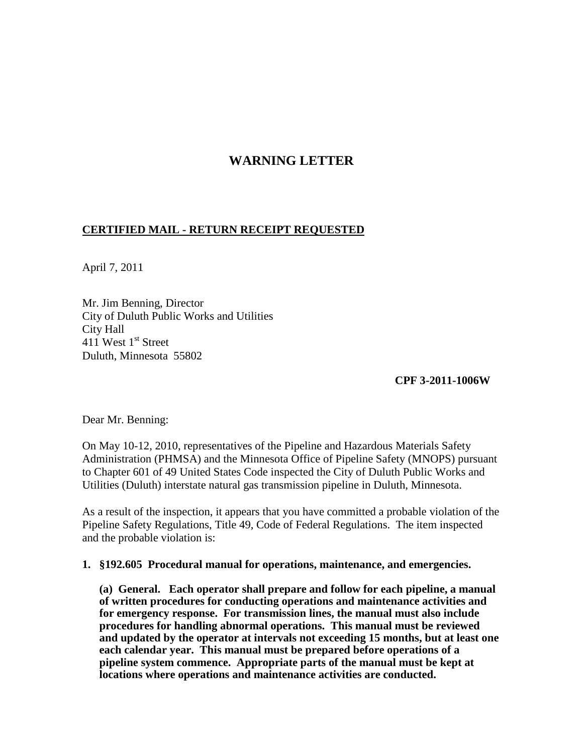## **WARNING LETTER**

## **CERTIFIED MAIL - RETURN RECEIPT REQUESTED**

April 7, 2011

Mr. Jim Benning, Director City of Duluth Public Works and Utilities City Hall 411 West  $1<sup>st</sup>$  Street Duluth, Minnesota 55802

**CPF 3-2011-1006W**

Dear Mr. Benning:

On May 10-12, 2010, representatives of the Pipeline and Hazardous Materials Safety Administration (PHMSA) and the Minnesota Office of Pipeline Safety (MNOPS) pursuant to Chapter 601 of 49 United States Code inspected the City of Duluth Public Works and Utilities (Duluth) interstate natural gas transmission pipeline in Duluth, Minnesota.

As a result of the inspection, it appears that you have committed a probable violation of the Pipeline Safety Regulations, Title 49, Code of Federal Regulations. The item inspected and the probable violation is:

## **1. §192.605 Procedural manual for operations, maintenance, and emergencies.**

**(a) General. Each operator shall prepare and follow for each pipeline, a manual of written procedures for conducting operations and maintenance activities and for emergency response. For transmission lines, the manual must also include procedures for handling abnormal operations. This manual must be reviewed and updated by the operator at intervals not exceeding 15 months, but at least one each calendar year. This manual must be prepared before operations of a pipeline system commence. Appropriate parts of the manual must be kept at locations where operations and maintenance activities are conducted.**